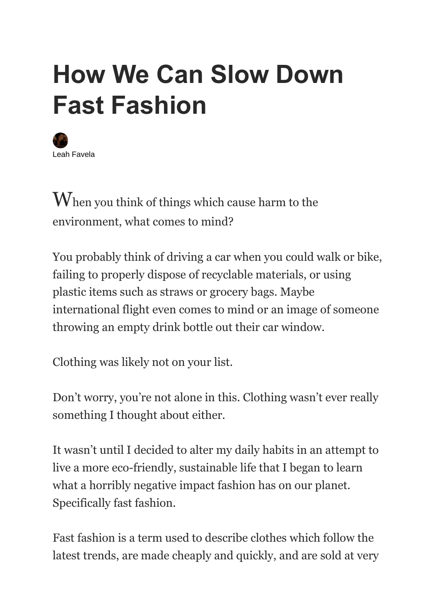# **How We Can Slow Down Fast Fashion**



When you think of things which cause harm to the environment, what comes to mind?

You probably think of driving a car when you could walk or bike, failing to properly dispose of recyclable materials, or using plastic items such as straws or grocery bags. Maybe international flight even comes to mind or an image of someone throwing an empty drink bottle out their car window.

Clothing was likely not on your list.

Don't worry, you're not alone in this. Clothing wasn't ever really something I thought about either.

It wasn't until I decided to alter my daily habits in an attempt to live a more eco-friendly, sustainable life that I began to learn what a horribly negative impact fashion has on our planet. Specifically fast fashion.

Fast fashion is a term used to describe clothes which follow the latest trends, are made cheaply and quickly, and are sold at very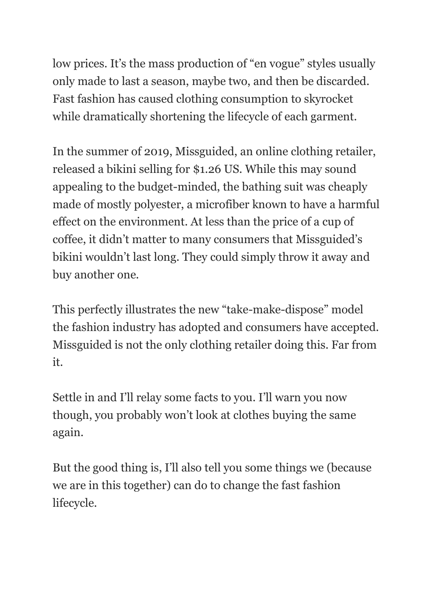low prices. It's the mass production of "en vogue" styles usually only made to last a season, maybe two, and then be discarded. Fast fashion has caused clothing consumption to skyrocket while dramatically shortening the lifecycle of each garment.

In the summer of 2019, Missguided, an online clothing retailer, released a bikini selling for \$1.26 US. While this may sound appealing to the budget-minded, the bathing suit was cheaply made of mostly polyester, a microfiber known to have a harmful effect on the environment. At less than the price of a cup of coffee, it didn't matter to many consumers that Missguided's bikini wouldn't last long. They could simply throw it away and buy another one.

This perfectly illustrates the new "take-make-dispose" model the fashion industry has adopted and consumers have accepted. Missguided is not the only clothing retailer doing this. Far from it.

Settle in and I'll relay some facts to you. I'll warn you now though, you probably won't look at clothes buying the same again.

But the good thing is, I'll also tell you some things we (because we are in this together) can do to change the fast fashion lifecycle.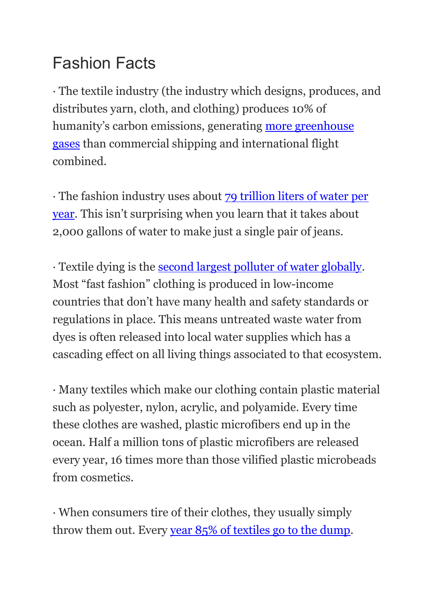# Fashion Facts

· The textile industry (the industry which designs, produces, and distributes yarn, cloth, and clothing) produces 10% of humanity's carbon emissions, generating [more greenhouse](https://www.ellenmacarthurfoundation.org/publications/a-new-textiles-economy-redesigning-fashions-future)  [gases](https://www.ellenmacarthurfoundation.org/publications/a-new-textiles-economy-redesigning-fashions-future) than commercial shipping and international flight combined.

· The fashion industry uses about [79 trillion liters of water per](https://www.researchgate.net/publication/340635670_The_environmental_price_of_fast_fashion)  [year](https://www.researchgate.net/publication/340635670_The_environmental_price_of_fast_fashion). This isn't surprising when you learn that it takes about 2,000 gallons of water to make just a single pair of jeans.

· Textile dying is the [second largest polluter of water globally.](https://www.researchgate.net/publication/265893071_Textile_dyeing_industry_an_environmental_hazard) Most "fast fashion" clothing is produced in low-income countries that don't have many health and safety standards or regulations in place. This means untreated waste water from dyes is often released into local water supplies which has a cascading effect on all living things associated to that ecosystem.

· Many textiles which make our clothing contain plastic material such as polyester, nylon, acrylic, and polyamide. Every time these clothes are washed, plastic microfibers end up in the ocean. Half a million tons of plastic microfibers are released every year, 16 times more than those vilified plastic microbeads from cosmetics.

· When consumers tire of their clothes, they usually simply throw them out. Every [year 85% of textiles go to the dump.](https://www.businessinsider.com/fast-fashion-environmental-impact-pollution-emissions-waste-water-2019-10?r=US&IR=T)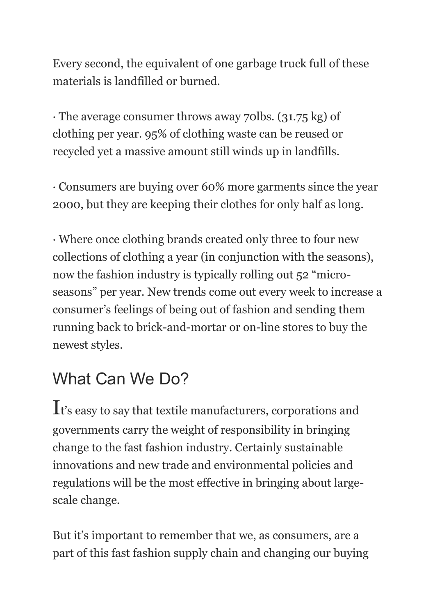Every second, the equivalent of one garbage truck full of these materials is landfilled or burned.

· The average consumer throws away 70lbs. (31.75 kg) of clothing per year. 95% of clothing waste can be reused or recycled yet a massive amount still winds up in landfills.

· Consumers are buying over 60% more garments since the year 2000, but they are keeping their clothes for only half as long.

· Where once clothing brands created only three to four new collections of clothing a year (in conjunction with the seasons), now the fashion industry is typically rolling out 52 "microseasons" per year. New trends come out every week to increase a consumer's feelings of being out of fashion and sending them running back to brick-and-mortar or on-line stores to buy the newest styles.

# What Can We Do?

It's easy to say that textile manufacturers, corporations and governments carry the weight of responsibility in bringing change to the fast fashion industry. Certainly sustainable innovations and new trade and environmental policies and regulations will be the most effective in bringing about largescale change.

But it's important to remember that we, as consumers, are a part of this fast fashion supply chain and changing our buying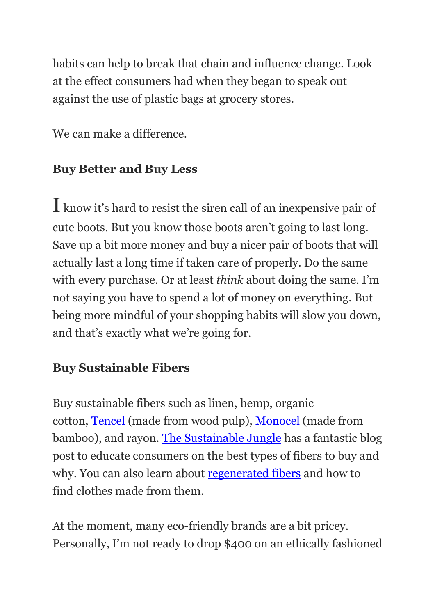habits can help to break that chain and influence change. Look at the effect consumers had when they began to speak out against the use of plastic bags at grocery stores.

We can make a difference.

## **Buy Better and Buy Less**

I know it's hard to resist the siren call of an inexpensive pair of cute boots. But you know those boots aren't going to last long. Save up a bit more money and buy a nicer pair of boots that will actually last a long time if taken care of properly. Do the same with every purchase. Or at least *think* about doing the same. I'm not saying you have to spend a lot of money on everything. But being more mindful of your shopping habits will slow you down, and that's exactly what we're going for.

#### **Buy Sustainable Fibers**

Buy sustainable fibers such as linen, hemp, organic cotton, [Tencel](https://www.tencel.com/) (made from wood pulp), [Monocel](https://www.launch.org/innovators/jonny-kristiansen/#:~:text=strong%20as%20cotton.-,Monocel%20is%20a%20yarn%20made%20from%20lyocell%20bamboo%20fiber%20and,through%20a%20method%20called%20lyocell.) (made from bamboo), and rayon. [The Sustainable Jungle](https://www.sustainablejungle.com/sustainable-fashion/sustainable-fabrics/) has a fantastic blog post to educate consumers on the best types of fibers to buy and why. You can also learn about [regenerated fibers](https://www.homesciencejournal.com/archives/2016/vol2issue3/PartA/2-2-71.pdf) and how to find clothes made from them.

At the moment, many eco-friendly brands are a bit pricey. Personally, I'm not ready to drop \$400 on an ethically fashioned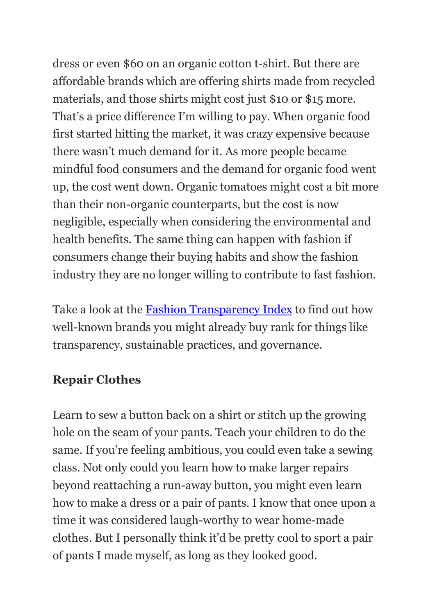dress or even \$60 on an organic cotton t-shirt. But there are affordable brands which are offering shirts made from recycled materials, and those shirts might cost just \$10 or \$15 more. That's a price difference I'm willing to pay. When organic food first started hitting the market, it was crazy expensive because there wasn't much demand for it. As more people became mindful food consumers and the demand for organic food went up, the cost went down. Organic tomatoes might cost a bit more than their non-organic counterparts, but the cost is now negligible, especially when considering the environmental and health benefits. The same thing can happen with fashion if consumers change their buying habits and show the fashion industry they are no longer willing to contribute to fast fashion.

Take a look at the [Fashion Transparency Index](https://www.fashionrevolution.org/about/transparency/) to find out how well-known brands you might already buy rank for things like transparency, sustainable practices, and governance.

#### **Repair Clothes**

Learn to sew a button back on a shirt or stitch up the growing hole on the seam of your pants. Teach your children to do the same. If you're feeling ambitious, you could even take a sewing class. Not only could you learn how to make larger repairs beyond reattaching a run-away button, you might even learn how to make a dress or a pair of pants. I know that once upon a time it was considered laugh-worthy to wear home-made clothes. But I personally think it'd be pretty cool to sport a pair of pants I made myself, as long as they looked good.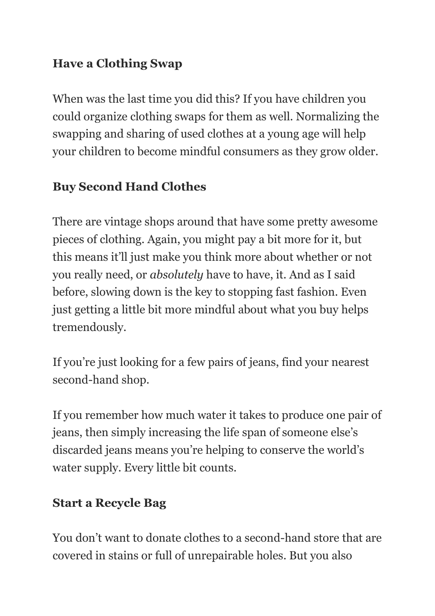## **Have a Clothing Swap**

When was the last time you did this? If you have children you could organize clothing swaps for them as well. Normalizing the swapping and sharing of used clothes at a young age will help your children to become mindful consumers as they grow older.

## **Buy Second Hand Clothes**

There are vintage shops around that have some pretty awesome pieces of clothing. Again, you might pay a bit more for it, but this means it'll just make you think more about whether or not you really need, or *absolutely* have to have, it. And as I said before, slowing down is the key to stopping fast fashion. Even just getting a little bit more mindful about what you buy helps tremendously.

If you're just looking for a few pairs of jeans, find your nearest second-hand shop.

If you remember how much water it takes to produce one pair of jeans, then simply increasing the life span of someone else's discarded jeans means you're helping to conserve the world's water supply. Every little bit counts.

#### **Start a Recycle Bag**

You don't want to donate clothes to a second-hand store that are covered in stains or full of unrepairable holes. But you also